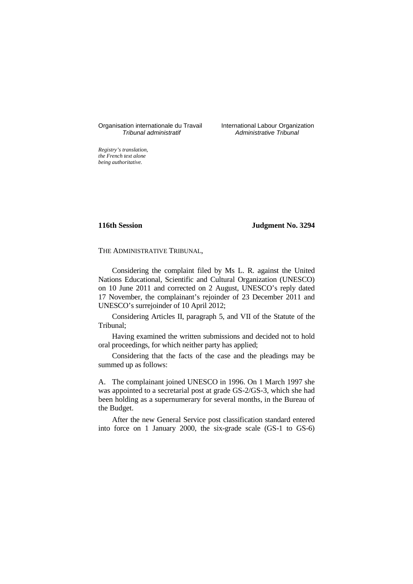Organisation internationale du Travail International Labour Organization<br>*Tribunal administratif* Administrative Tribunal

Administrative Tribunal

*Registry's translation, the French text alone being authoritative.*

**116th Session Judgment No. 3294**

THE ADMINISTRATIVE TRIBUNAL,

Considering the complaint filed by Ms L. R. against the United Nations Educational, Scientific and Cultural Organization (UNESCO) on 10 June 2011 and corrected on 2 August, UNESCO's reply dated 17 November, the complainant's rejoinder of 23 December 2011 and UNESCO's surrejoinder of 10 April 2012;

Considering Articles II, paragraph 5, and VII of the Statute of the Tribunal;

Having examined the written submissions and decided not to hold oral proceedings, for which neither party has applied;

Considering that the facts of the case and the pleadings may be summed up as follows:

A. The complainant joined UNESCO in 1996. On 1 March 1997 she was appointed to a secretarial post at grade GS-2/GS-3, which she had been holding as a supernumerary for several months, in the Bureau of the Budget.

After the new General Service post classification standard entered into force on 1 January 2000, the six-grade scale (GS-1 to GS-6)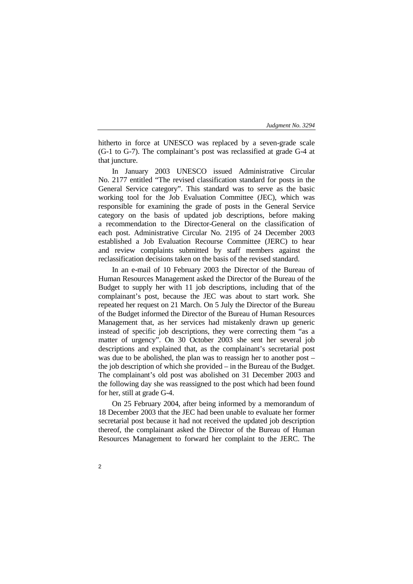hitherto in force at UNESCO was replaced by a seven-grade scale (G-1 to G-7). The complainant's post was reclassified at grade G-4 at that juncture.

In January 2003 UNESCO issued Administrative Circular No. 2177 entitled "The revised classification standard for posts in the General Service category". This standard was to serve as the basic working tool for the Job Evaluation Committee (JEC), which was responsible for examining the grade of posts in the General Service category on the basis of updated job descriptions, before making a recommendation to the Director-General on the classification of each post. Administrative Circular No. 2195 of 24 December 2003 established a Job Evaluation Recourse Committee (JERC) to hear and review complaints submitted by staff members against the reclassification decisions taken on the basis of the revised standard.

In an e-mail of 10 February 2003 the Director of the Bureau of Human Resources Management asked the Director of the Bureau of the Budget to supply her with 11 job descriptions, including that of the complainant's post, because the JEC was about to start work. She repeated her request on 21 March. On 5 July the Director of the Bureau of the Budget informed the Director of the Bureau of Human Resources Management that, as her services had mistakenly drawn up generic instead of specific job descriptions, they were correcting them "as a matter of urgency". On 30 October 2003 she sent her several job descriptions and explained that, as the complainant's secretarial post was due to be abolished, the plan was to reassign her to another post – the job description of which she provided – in the Bureau of the Budget. The complainant's old post was abolished on 31 December 2003 and the following day she was reassigned to the post which had been found for her, still at grade G-4.

On 25 February 2004, after being informed by a memorandum of 18 December 2003 that the JEC had been unable to evaluate her former secretarial post because it had not received the updated job description thereof, the complainant asked the Director of the Bureau of Human Resources Management to forward her complaint to the JERC. The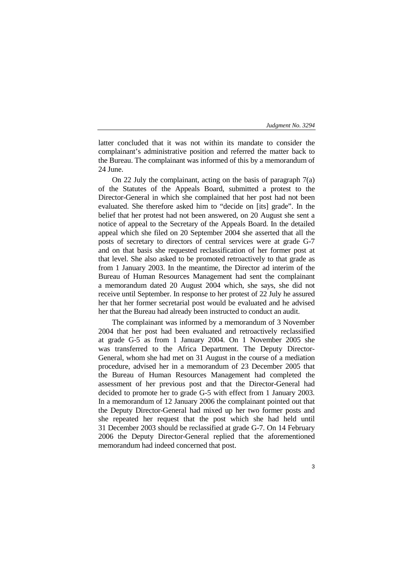3

latter concluded that it was not within its mandate to consider the complainant's administrative position and referred the matter back to the Bureau. The complainant was informed of this by a memorandum of 24 June.

On 22 July the complainant, acting on the basis of paragraph 7(a) of the Statutes of the Appeals Board, submitted a protest to the Director-General in which she complained that her post had not been evaluated. She therefore asked him to "decide on [its] grade". In the belief that her protest had not been answered, on 20 August she sent a notice of appeal to the Secretary of the Appeals Board. In the detailed appeal which she filed on 20 September 2004 she asserted that all the posts of secretary to directors of central services were at grade G-7 and on that basis she requested reclassification of her former post at that level. She also asked to be promoted retroactively to that grade as from 1 January 2003. In the meantime, the Director ad interim of the Bureau of Human Resources Management had sent the complainant a memorandum dated 20 August 2004 which, she says, she did not receive until September. In response to her protest of 22 July he assured her that her former secretarial post would be evaluated and he advised her that the Bureau had already been instructed to conduct an audit.

The complainant was informed by a memorandum of 3 November 2004 that her post had been evaluated and retroactively reclassified at grade G-5 as from 1 January 2004. On 1 November 2005 she was transferred to the Africa Department. The Deputy Director-General, whom she had met on 31 August in the course of a mediation procedure, advised her in a memorandum of 23 December 2005 that the Bureau of Human Resources Management had completed the assessment of her previous post and that the Director-General had decided to promote her to grade G-5 with effect from 1 January 2003. In a memorandum of 12 January 2006 the complainant pointed out that the Deputy Director-General had mixed up her two former posts and she repeated her request that the post which she had held until 31 December 2003 should be reclassified at grade G-7. On 14 February 2006 the Deputy Director-General replied that the aforementioned memorandum had indeed concerned that post.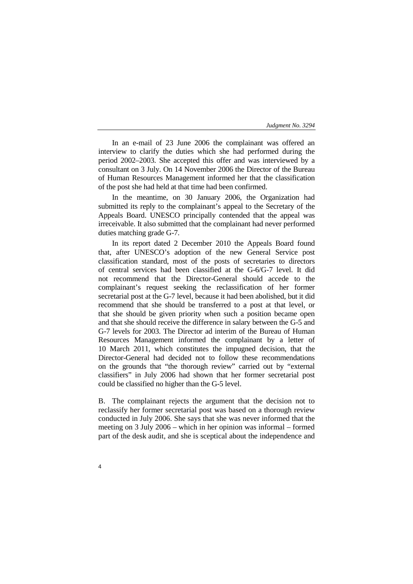In an e-mail of 23 June 2006 the complainant was offered an interview to clarify the duties which she had performed during the period 2002–2003. She accepted this offer and was interviewed by a consultant on 3 July. On 14 November 2006 the Director of the Bureau of Human Resources Management informed her that the classification of the post she had held at that time had been confirmed.

In the meantime, on 30 January 2006, the Organization had submitted its reply to the complainant's appeal to the Secretary of the Appeals Board. UNESCO principally contended that the appeal was irreceivable. It also submitted that the complainant had never performed duties matching grade G-7.

In its report dated 2 December 2010 the Appeals Board found that, after UNESCO's adoption of the new General Service post classification standard, most of the posts of secretaries to directors of central services had been classified at the G-6/G-7 level. It did not recommend that the Director-General should accede to the complainant's request seeking the reclassification of her former secretarial post at the G-7 level, because it had been abolished, but it did recommend that she should be transferred to a post at that level, or that she should be given priority when such a position became open and that she should receive the difference in salary between the G-5 and G-7 levels for 2003. The Director ad interim of the Bureau of Human Resources Management informed the complainant by a letter of 10 March 2011, which constitutes the impugned decision, that the Director-General had decided not to follow these recommendations on the grounds that "the thorough review" carried out by "external classifiers" in July 2006 had shown that her former secretarial post could be classified no higher than the G-5 level.

B. The complainant rejects the argument that the decision not to reclassify her former secretarial post was based on a thorough review conducted in July 2006. She says that she was never informed that the meeting on 3 July 2006 – which in her opinion was informal – formed part of the desk audit, and she is sceptical about the independence and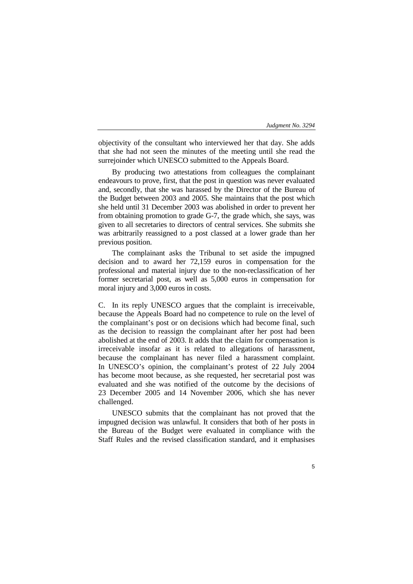objectivity of the consultant who interviewed her that day. She adds that she had not seen the minutes of the meeting until she read the surrejoinder which UNESCO submitted to the Appeals Board.

By producing two attestations from colleagues the complainant endeavours to prove, first, that the post in question was never evaluated and, secondly, that she was harassed by the Director of the Bureau of the Budget between 2003 and 2005. She maintains that the post which she held until 31 December 2003 was abolished in order to prevent her from obtaining promotion to grade G-7, the grade which, she says, was given to all secretaries to directors of central services. She submits she was arbitrarily reassigned to a post classed at a lower grade than her previous position.

The complainant asks the Tribunal to set aside the impugned decision and to award her 72,159 euros in compensation for the professional and material injury due to the non-reclassification of her former secretarial post, as well as 5,000 euros in compensation for moral injury and 3,000 euros in costs.

C. In its reply UNESCO argues that the complaint is irreceivable, because the Appeals Board had no competence to rule on the level of the complainant's post or on decisions which had become final, such as the decision to reassign the complainant after her post had been abolished at the end of 2003. It adds that the claim for compensation is irreceivable insofar as it is related to allegations of harassment, because the complainant has never filed a harassment complaint. In UNESCO's opinion, the complainant's protest of 22 July 2004 has become moot because, as she requested, her secretarial post was evaluated and she was notified of the outcome by the decisions of 23 December 2005 and 14 November 2006, which she has never challenged.

UNESCO submits that the complainant has not proved that the impugned decision was unlawful. It considers that both of her posts in the Bureau of the Budget were evaluated in compliance with the Staff Rules and the revised classification standard, and it emphasises

5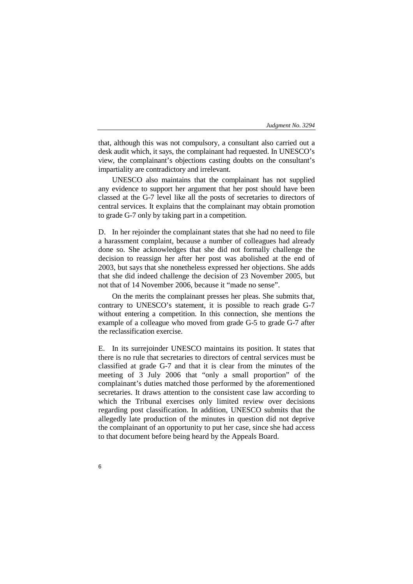that, although this was not compulsory, a consultant also carried out a desk audit which, it says, the complainant had requested. In UNESCO's view, the complainant's objections casting doubts on the consultant's impartiality are contradictory and irrelevant.

UNESCO also maintains that the complainant has not supplied any evidence to support her argument that her post should have been classed at the G-7 level like all the posts of secretaries to directors of central services. It explains that the complainant may obtain promotion to grade G-7 only by taking part in a competition.

D. In her rejoinder the complainant states that she had no need to file a harassment complaint, because a number of colleagues had already done so. She acknowledges that she did not formally challenge the decision to reassign her after her post was abolished at the end of 2003, but says that she nonetheless expressed her objections. She adds that she did indeed challenge the decision of 23 November 2005, but not that of 14 November 2006, because it "made no sense".

On the merits the complainant presses her pleas. She submits that, contrary to UNESCO's statement, it is possible to reach grade G-7 without entering a competition. In this connection, she mentions the example of a colleague who moved from grade G-5 to grade G-7 after the reclassification exercise.

E. In its surrejoinder UNESCO maintains its position. It states that there is no rule that secretaries to directors of central services must be classified at grade G-7 and that it is clear from the minutes of the meeting of 3 July 2006 that "only a small proportion" of the complainant's duties matched those performed by the aforementioned secretaries. It draws attention to the consistent case law according to which the Tribunal exercises only limited review over decisions regarding post classification. In addition, UNESCO submits that the allegedly late production of the minutes in question did not deprive the complainant of an opportunity to put her case, since she had access to that document before being heard by the Appeals Board.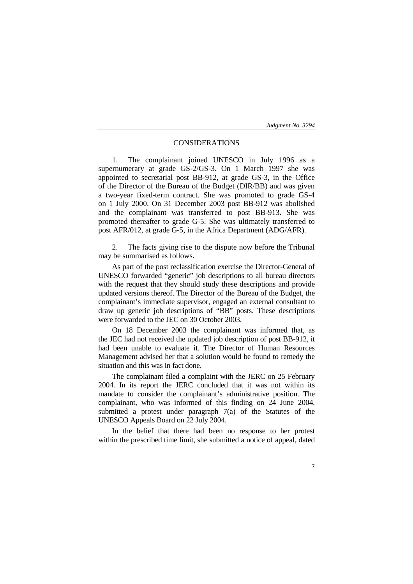# CONSIDERATIONS

1. The complainant joined UNESCO in July 1996 as a supernumerary at grade GS-2/GS-3. On 1 March 1997 she was appointed to secretarial post BB-912, at grade GS-3, in the Office of the Director of the Bureau of the Budget (DIR/BB) and was given a two-year fixed-term contract. She was promoted to grade GS-4 on 1 July 2000. On 31 December 2003 post BB-912 was abolished and the complainant was transferred to post BB-913. She was promoted thereafter to grade G-5. She was ultimately transferred to post AFR/012, at grade G-5, in the Africa Department (ADG/AFR).

The facts giving rise to the dispute now before the Tribunal may be summarised as follows.

As part of the post reclassification exercise the Director-General of UNESCO forwarded "generic" job descriptions to all bureau directors with the request that they should study these descriptions and provide updated versions thereof. The Director of the Bureau of the Budget, the complainant's immediate supervisor, engaged an external consultant to draw up generic job descriptions of "BB" posts. These descriptions were forwarded to the JEC on 30 October 2003.

On 18 December 2003 the complainant was informed that, as the JEC had not received the updated job description of post BB-912, it had been unable to evaluate it. The Director of Human Resources Management advised her that a solution would be found to remedy the situation and this was in fact done.

The complainant filed a complaint with the JERC on 25 February 2004. In its report the JERC concluded that it was not within its mandate to consider the complainant's administrative position. The complainant, who was informed of this finding on 24 June 2004, submitted a protest under paragraph 7(a) of the Statutes of the UNESCO Appeals Board on 22 July 2004.

In the belief that there had been no response to her protest within the prescribed time limit, she submitted a notice of appeal, dated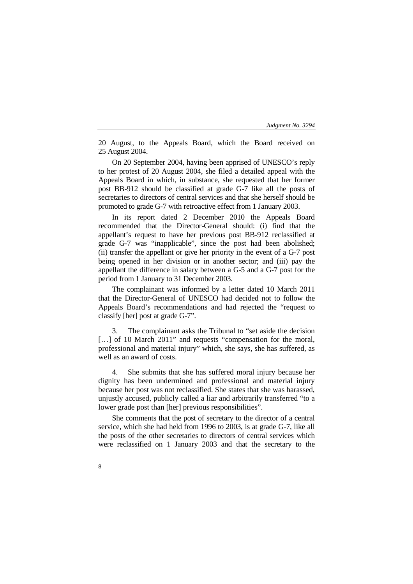20 August, to the Appeals Board, which the Board received on 25 August 2004.

On 20 September 2004, having been apprised of UNESCO's reply to her protest of 20 August 2004, she filed a detailed appeal with the Appeals Board in which, in substance, she requested that her former post BB-912 should be classified at grade G-7 like all the posts of secretaries to directors of central services and that she herself should be promoted to grade G-7 with retroactive effect from 1 January 2003.

In its report dated 2 December 2010 the Appeals Board recommended that the Director-General should: (i) find that the appellant's request to have her previous post BB-912 reclassified at grade G-7 was "inapplicable", since the post had been abolished; (ii) transfer the appellant or give her priority in the event of a G-7 post being opened in her division or in another sector; and (iii) pay the appellant the difference in salary between a G-5 and a G-7 post for the period from 1 January to 31 December 2003.

The complainant was informed by a letter dated 10 March 2011 that the Director-General of UNESCO had decided not to follow the Appeals Board's recommendations and had rejected the "request to classify [her] post at grade G-7".

3. The complainant asks the Tribunal to "set aside the decision [...] of 10 March 2011" and requests "compensation for the moral, professional and material injury" which, she says, she has suffered, as well as an award of costs.

4. She submits that she has suffered moral injury because her dignity has been undermined and professional and material injury because her post was not reclassified. She states that she was harassed, unjustly accused, publicly called a liar and arbitrarily transferred "to a lower grade post than [her] previous responsibilities".

She comments that the post of secretary to the director of a central service, which she had held from 1996 to 2003, is at grade G-7, like all the posts of the other secretaries to directors of central services which were reclassified on 1 January 2003 and that the secretary to the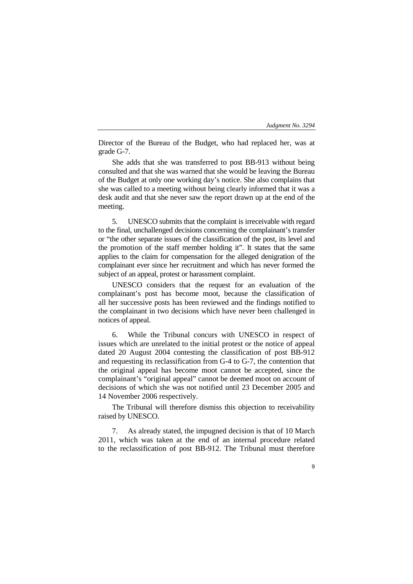Director of the Bureau of the Budget, who had replaced her, was at grade G-7.

She adds that she was transferred to post BB-913 without being consulted and that she was warned that she would be leaving the Bureau of the Budget at only one working day's notice. She also complains that she was called to a meeting without being clearly informed that it was a desk audit and that she never saw the report drawn up at the end of the meeting.

5. UNESCO submits that the complaint is irreceivable with regard to the final, unchallenged decisions concerning the complainant's transfer or "the other separate issues of the classification of the post, its level and the promotion of the staff member holding it". It states that the same applies to the claim for compensation for the alleged denigration of the complainant ever since her recruitment and which has never formed the subject of an appeal, protest or harassment complaint.

UNESCO considers that the request for an evaluation of the complainant's post has become moot, because the classification of all her successive posts has been reviewed and the findings notified to the complainant in two decisions which have never been challenged in notices of appeal.

6. While the Tribunal concurs with UNESCO in respect of issues which are unrelated to the initial protest or the notice of appeal dated 20 August 2004 contesting the classification of post BB-912 and requesting its reclassification from G-4 to G-7, the contention that the original appeal has become moot cannot be accepted, since the complainant's "original appeal" cannot be deemed moot on account of decisions of which she was not notified until 23 December 2005 and 14 November 2006 respectively.

The Tribunal will therefore dismiss this objection to receivability raised by UNESCO.

7. As already stated, the impugned decision is that of 10 March 2011, which was taken at the end of an internal procedure related to the reclassification of post BB-912. The Tribunal must therefore

9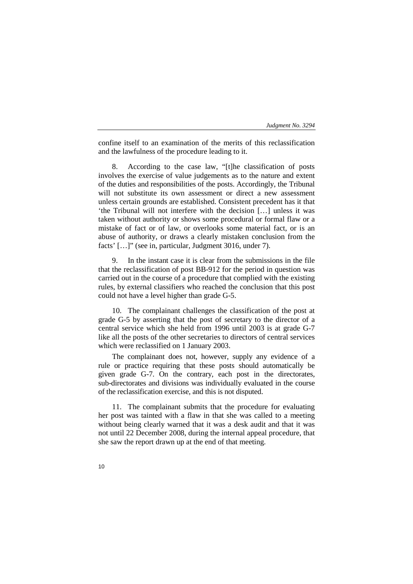confine itself to an examination of the merits of this reclassification and the lawfulness of the procedure leading to it.

8. According to the case law, "[t]he classification of posts involves the exercise of value judgements as to the nature and extent of the duties and responsibilities of the posts. Accordingly, the Tribunal will not substitute its own assessment or direct a new assessment unless certain grounds are established. Consistent precedent has it that 'the Tribunal will not interfere with the decision […] unless it was taken without authority or shows some procedural or formal flaw or a mistake of fact or of law, or overlooks some material fact, or is an abuse of authority, or draws a clearly mistaken conclusion from the facts' […]" (see in, particular, Judgment 3016, under 7).

9. In the instant case it is clear from the submissions in the file that the reclassification of post BB-912 for the period in question was carried out in the course of a procedure that complied with the existing rules, by external classifiers who reached the conclusion that this post could not have a level higher than grade G-5.

10. The complainant challenges the classification of the post at grade G-5 by asserting that the post of secretary to the director of a central service which she held from 1996 until 2003 is at grade G-7 like all the posts of the other secretaries to directors of central services which were reclassified on 1 January 2003.

The complainant does not, however, supply any evidence of a rule or practice requiring that these posts should automatically be given grade G-7. On the contrary, each post in the directorates, sub-directorates and divisions was individually evaluated in the course of the reclassification exercise, and this is not disputed.

11. The complainant submits that the procedure for evaluating her post was tainted with a flaw in that she was called to a meeting without being clearly warned that it was a desk audit and that it was not until 22 December 2008, during the internal appeal procedure, that she saw the report drawn up at the end of that meeting.